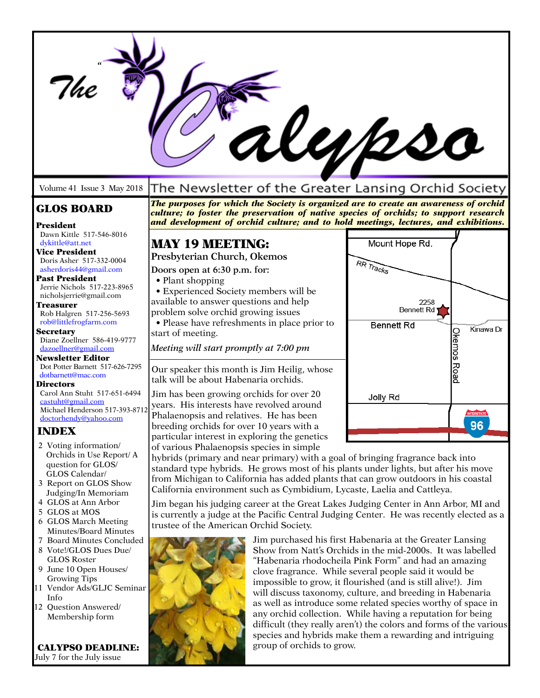|                                                             |                                                                                                                                                                                                                                                                      | Uypso                                                                                                                     |
|-------------------------------------------------------------|----------------------------------------------------------------------------------------------------------------------------------------------------------------------------------------------------------------------------------------------------------------------|---------------------------------------------------------------------------------------------------------------------------|
| Volume 41 Issue 3 May 2018                                  | The Newsletter of the Greater Lansing Orchid Society                                                                                                                                                                                                                 |                                                                                                                           |
| <b>GLOS BOARD</b><br>President                              | The purposes for which the Society is organized are to create an awareness of orchid<br>culture; to foster the preservation of native species of orchids; to support research<br>and development of orchid culture; and to hold meetings, lectures, and exhibitions. |                                                                                                                           |
| Dawn Kittle 517-546-8016<br>dykittle@att.net                | <b>MAY 19 MEETING:</b>                                                                                                                                                                                                                                               | Mount Hope Rd.                                                                                                            |
| Vice President                                              | Presbyterian Church, Okemos                                                                                                                                                                                                                                          |                                                                                                                           |
| Doris Asher 517-332-0004<br>asherdoris44@gmail.com          | Doors open at 6:30 p.m. for:                                                                                                                                                                                                                                         | RR Tracks                                                                                                                 |
| Past President<br>Jerrie Nichols 517-223-8965               | • Plant shopping                                                                                                                                                                                                                                                     |                                                                                                                           |
| nicholsjerrie@gmail.com                                     | • Experienced Society members will be<br>available to answer questions and help                                                                                                                                                                                      | 2258                                                                                                                      |
| <b>Treasurer</b><br>Rob Halgren 517-256-5693                | problem solve orchid growing issues                                                                                                                                                                                                                                  | <b>Bennett Rd</b>                                                                                                         |
| rob@littlefrogfarm.com                                      | • Please have refreshments in place prior to                                                                                                                                                                                                                         | <b>Bennett Rd</b><br>Kinawa Dr                                                                                            |
| <b>Secretary</b><br>Diane Zoellner 586-419-9777             | start of meeting.                                                                                                                                                                                                                                                    | Okemos                                                                                                                    |
| dazoellner@gmail.com                                        | Meeting will start promptly at 7:00 pm                                                                                                                                                                                                                               |                                                                                                                           |
| <b>Newsletter Editor</b><br>Dot Potter Barnett 517-626-7295 | Our speaker this month is Jim Heilig, whose                                                                                                                                                                                                                          |                                                                                                                           |
| dotbarnett@mac.com<br><b>Directors</b>                      | talk will be about Habenaria orchids.                                                                                                                                                                                                                                | <b>Road</b>                                                                                                               |
| Carol Ann Stuht 517-651-6494                                | Jim has been growing orchids for over 20                                                                                                                                                                                                                             | Jolly Rd                                                                                                                  |
| castuht@gmail.com<br>Michael Henderson 517-393-8712         | years. His interests have revolved around                                                                                                                                                                                                                            |                                                                                                                           |
| doctorhendy@yahoo.com                                       | Phalaenopsis and relatives. He has been<br>breeding orchids for over 10 years with a                                                                                                                                                                                 | <b>INTERSTATE</b>                                                                                                         |
| <b>INDEX</b>                                                | particular interest in exploring the genetics                                                                                                                                                                                                                        | 96.                                                                                                                       |
| 2 Voting information/                                       | of various Phalaenopsis species in simple                                                                                                                                                                                                                            |                                                                                                                           |
| Orchids in Use Report/ A<br>question for GLOS/              | hybrids (primary and near primary) with a goal of bringing fragrance back into                                                                                                                                                                                       |                                                                                                                           |
| GLOS Calendar/                                              | standard type hybrids. He grows most of his plants under lights, but after his move<br>from Michigan to California has added plants that can grow outdoors in his coastal                                                                                            |                                                                                                                           |
| 3 Report on GLOS Show<br>Judging/In Memoriam                | California environment such as Cymbidium, Lycaste, Laelia and Cattleya.                                                                                                                                                                                              |                                                                                                                           |
| 4 GLOS at Ann Arbor                                         | Jim began his judging career at the Great Lakes Judging Center in Ann Arbor, MI and                                                                                                                                                                                  |                                                                                                                           |
| 5 GLOS at MOS<br>6 GLOS March Meeting                       | is currently a judge at the Pacific Central Judging Center. He was recently elected as a                                                                                                                                                                             |                                                                                                                           |
| Minutes/Board Minutes                                       | trustee of the American Orchid Society.                                                                                                                                                                                                                              |                                                                                                                           |
| 7 Board Minutes Concluded<br>8 Vote!/GLOS Dues Due/         |                                                                                                                                                                                                                                                                      | Jim purchased his first Habenaria at the Greater Lansing<br>Show from Natt's Orchids in the mid-2000s. It was labelled    |
| <b>GLOS Roster</b>                                          |                                                                                                                                                                                                                                                                      | "Habenaria rhodocheila Pink Form" and had an amazing                                                                      |
| 9 June 10 Open Houses/                                      |                                                                                                                                                                                                                                                                      | clove fragrance. While several people said it would be                                                                    |
| <b>Growing Tips</b><br>11 Vendor Ads/GLJC Seminar           |                                                                                                                                                                                                                                                                      | impossible to grow, it flourished (and is still alive!). Jim                                                              |
| Info                                                        |                                                                                                                                                                                                                                                                      | will discuss taxonomy, culture, and breeding in Habenaria<br>as well as introduce some related species worthy of space in |
| 12 Question Answered/<br>Membership form                    |                                                                                                                                                                                                                                                                      | any orchid collection. While having a reputation for being                                                                |
|                                                             |                                                                                                                                                                                                                                                                      | difficult (they really aren't) the colors and forms of the various                                                        |
| <b>CALYPSO DEADLINE:</b>                                    | group of orchids to grow.                                                                                                                                                                                                                                            | species and hybrids make them a rewarding and intriguing                                                                  |
| July 7 for the July issue                                   |                                                                                                                                                                                                                                                                      |                                                                                                                           |

**Contract** 

**SOFTWARE**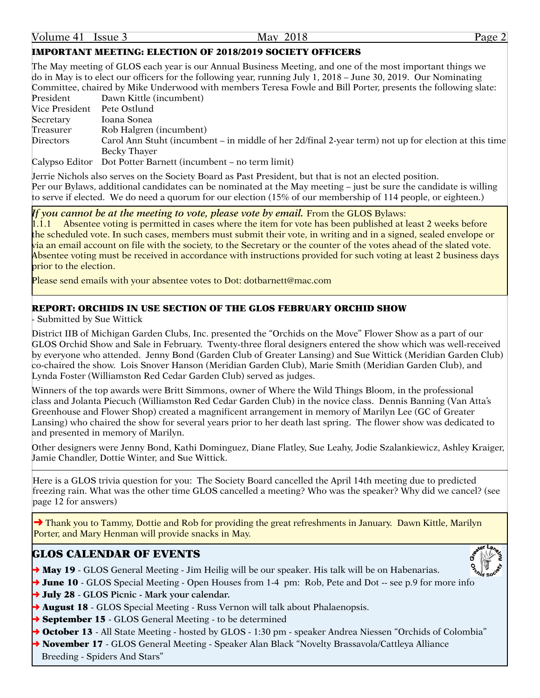#### IMPORTANT MEETING: ELECTION OF 2018/2019 SOCIETY OFFICERS

The May meeting of GLOS each year is our Annual Business Meeting, and one of the most important things we do in May is to elect our officers for the following year, running July 1, 2018 – June 30, 2019. Our Nominating Committee, chaired by Mike Underwood with members Teresa Fowle and Bill Porter, presents the following slate: President Dawn Kittle (incumbent) Vice President Pete Ostlund Secretary Ioana Sonea Treasurer Rob Halgren (incumbent) Directors Carol Ann Stuht (incumbent – in middle of her 2d/final 2-year term) not up for election at this time Becky Thayer

Calypso Editor Dot Potter Barnett (incumbent – no term limit)

Jerrie Nichols also serves on the Society Board as Past President, but that is not an elected position. Per our Bylaws, additional candidates can be nominated at the May meeting – just be sure the candidate is willing to serve if elected. We do need a quorum for our election (15% of our membership of 114 people, or eighteen.)

### If you cannot be at the meeting to vote, please vote by email. From the GLOS Bylaws:

1.1.1 Absentee voting is permitted in cases where the item for vote has been published at least 2 weeks before the scheduled vote. In such cases, members must submit their vote, in writing and in a signed, sealed envelope or via an email account on file with the society, to the Secretary or the counter of the votes ahead of the slated vote. Absentee voting must be received in accordance with instructions provided for such voting at least 2 business days prior to the election.

Please send emails with your absentee votes to Dot: dotbarnett@mac.com

#### REPORT: ORCHIDS IN USE SECTION OF THE GLOS FEBRUARY ORCHID SHOW

- Submitted by Sue Wittick

District IIB of Michigan Garden Clubs, Inc. presented the "Orchids on the Move" Flower Show as a part of our GLOS Orchid Show and Sale in February. Twenty-three floral designers entered the show which was well-received by everyone who attended. Jenny Bond (Garden Club of Greater Lansing) and Sue Wittick (Meridian Garden Club) co-chaired the show. Lois Snover Hanson (Meridian Garden Club), Marie Smith (Meridian Garden Club), and Lynda Foster (Williamston Red Cedar Garden Club) served as judges.

Winners of the top awards were Britt Simmons, owner of Where the Wild Things Bloom, in the professional class and Jolanta Piecuch (Williamston Red Cedar Garden Club) in the novice class. Dennis Banning (Van Atta's Greenhouse and Flower Shop) created a magnificent arrangement in memory of Marilyn Lee (GC of Greater Lansing) who chaired the show for several years prior to her death last spring. The flower show was dedicated to and presented in memory of Marilyn.

Other designers were Jenny Bond, Kathi Dominguez, Diane Flatley, Sue Leahy, Jodie Szalankiewicz, Ashley Kraiger, Jamie Chandler, Dottie Winter, and Sue Wittick.

Here is a GLOS trivia question for you: The Society Board cancelled the April 14th meeting due to predicted freezing rain. What was the other time GLOS cancelled a meeting? Who was the speaker? Why did we cancel? (see page 12 for answers)

**→** Thank you to Tammy, Dottie and Rob for providing the great refreshments in January. Dawn Kittle, Marilyn Porter, and Mary Henman will provide snacks in May.

### GLOS CALENDAR OF EVENTS

- $\rightarrow$  May 19 GLOS General Meeting Jim Heilig will be our speaker. His talk will be on Habenarias.
- $\rightarrow$  June 10 GLOS Special Meeting Open Houses from 1-4 pm: Rob, Pete and Dot -- see p.9 for more info
- ➜ July 28 **GLOS Picnic Mark your calendar.**
- $\rightarrow$  August 18 GLOS Special Meeting Russ Vernon will talk about Phalaenopsis.
- **→ September 15** GLOS General Meeting to be determined
- → October 13 All State Meeting hosted by GLOS 1:30 pm speaker Andrea Niessen "Orchids of Colombia"
- → November 17 GLOS General Meeting Speaker Alan Black "Novelty Brassavola/Cattleya Alliance Breeding - Spiders And Stars"

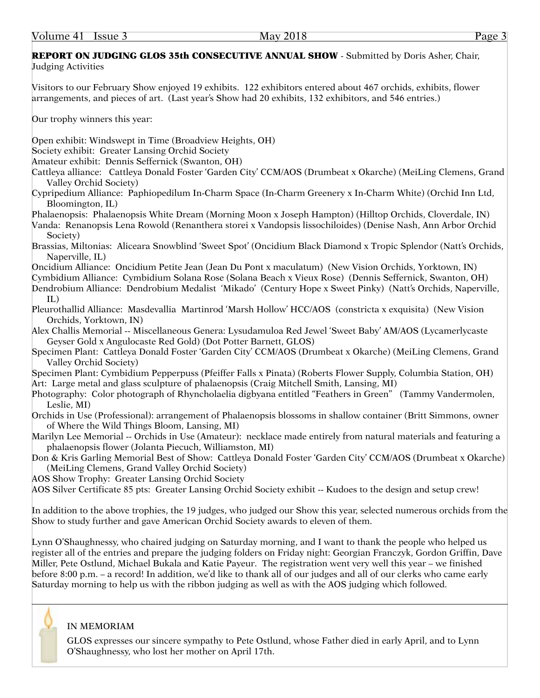### REPORT ON JUDGING GLOS 35th CONSECUTIVE ANNUAL SHOW - Submitted by Doris Asher, Chair, Judging Activities

Visitors to our February Show enjoyed 19 exhibits. 122 exhibitors entered about 467 orchids, exhibits, flower arrangements, and pieces of art. (Last year's Show had 20 exhibits, 132 exhibitors, and 546 entries.)

Our trophy winners this year:

Open exhibit: Windswept in Time (Broadview Heights, OH)

Society exhibit: Greater Lansing Orchid Society

Amateur exhibit: Dennis Seffernick (Swanton, OH)

Cattleya alliance: Cattleya Donald Foster 'Garden City' CCM/AOS (Drumbeat x Okarche) (MeiLing Clemens, Grand Valley Orchid Society)

Cypripedium Alliance: Paphiopedilum In-Charm Space (In-Charm Greenery x In-Charm White) (Orchid Inn Ltd, Bloomington, IL)

Phalaenopsis: Phalaenopsis White Dream (Morning Moon x Joseph Hampton) (Hilltop Orchids, Cloverdale, IN) Vanda: Renanopsis Lena Rowold (Renanthera storei x Vandopsis lissochiloides) (Denise Nash, Ann Arbor Orchid

Society)

Brassias, Miltonias: Aliceara Snowblind 'Sweet Spot' (Oncidium Black Diamond x Tropic Splendor (Natt's Orchids, Naperville, IL)

Oncidium Alliance: Oncidium Petite Jean (Jean Du Pont x maculatum) (New Vision Orchids, Yorktown, IN)

Cymbidium Alliance: Cymbidium Solana Rose (Solana Beach x Vieux Rose) (Dennis Seffernick, Swanton, OH) Dendrobium Alliance: Dendrobium Medalist 'Mikado' (Century Hope x Sweet Pinky) (Natt's Orchids, Naperville,

IL)

Pleurothallid Alliance: Masdevallia Martinrod 'Marsh Hollow' HCC/AOS (constricta x exquisita) (New Vision Orchids, Yorktown, IN)

Alex Challis Memorial -- Miscellaneous Genera: Lysudamuloa Red Jewel 'Sweet Baby' AM/AOS (Lycamerlycaste Geyser Gold x Angulocaste Red Gold) (Dot Potter Barnett, GLOS)

Specimen Plant: Cattleya Donald Foster 'Garden City' CCM/AOS (Drumbeat x Okarche) (MeiLing Clemens, Grand Valley Orchid Society)

Specimen Plant: Cymbidium Pepperpuss (Pfeiffer Falls x Pinata) (Roberts Flower Supply, Columbia Station, OH) Art: Large metal and glass sculpture of phalaenopsis (Craig Mitchell Smith, Lansing, MI)

Photography: Color photograph of Rhyncholaelia digbyana entitled "Feathers in Green" (Tammy Vandermolen, Leslie, MI)

Orchids in Use (Professional): arrangement of Phalaenopsis blossoms in shallow container (Britt Simmons, owner of Where the Wild Things Bloom, Lansing, MI)

Marilyn Lee Memorial -- Orchids in Use (Amateur): necklace made entirely from natural materials and featuring a phalaenopsis flower (Jolanta Piecuch, Williamston, MI)

Don & Kris Garling Memorial Best of Show: Cattleya Donald Foster 'Garden City' CCM/AOS (Drumbeat x Okarche) (MeiLing Clemens, Grand Valley Orchid Society)

AOS Show Trophy: Greater Lansing Orchid Society

AOS Silver Certificate 85 pts: Greater Lansing Orchid Society exhibit -- Kudoes to the design and setup crew!

In addition to the above trophies, the 19 judges, who judged our Show this year, selected numerous orchids from the Show to study further and gave American Orchid Society awards to eleven of them.

Lynn O'Shaughnessy, who chaired judging on Saturday morning, and I want to thank the people who helped us register all of the entries and prepare the judging folders on Friday night: Georgian Franczyk, Gordon Griffin, Dave Miller, Pete Ostlund, Michael Bukala and Katie Payeur. The registration went very well this year – we finished before 8:00 p.m. – a record! In addition, we'd like to thank all of our judges and all of our clerks who came early Saturday morning to help us with the ribbon judging as well as with the AOS judging which followed.

### IN MEMORIAM

GLOS expresses our sincere sympathy to Pete Ostlund, whose Father died in early April, and to Lynn O'Shaughnessy, who lost her mother on April 17th.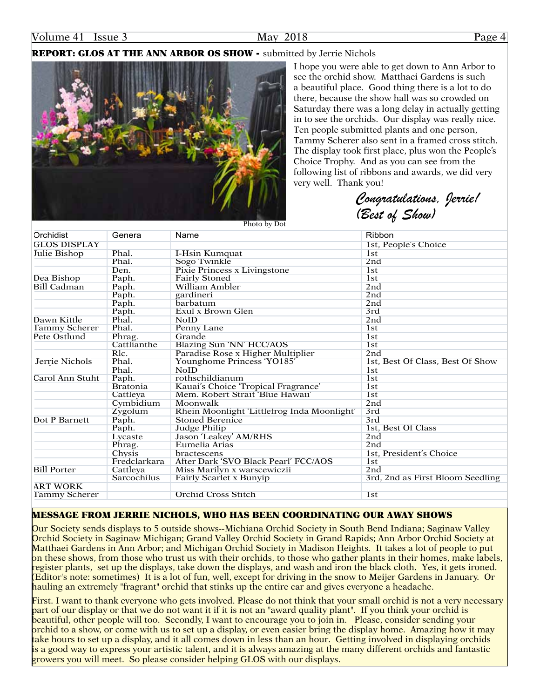### REPORT: GLOS AT THE ANN ARBOR OS SHOW - submitted by Jerrie Nichols



I hope you were able to get down to Ann Arbor to see the orchid show. Matthaei Gardens is such a beautiful place. Good thing there is a lot to do there, because the show hall was so crowded on Saturday there was a long delay in actually getting in to see the orchids. Our display was really nice. Ten people submitted plants and one person, Tammy Scherer also sent in a framed cross stitch. The display took first place, plus won the People's Choice Trophy. And as you can see from the following list of ribbons and awards, we did very very well. Thank you!

*Congratulations, Jerrie! (Best of Show)*

| Orchidist            | Genera          | Name                                        | Ribbon                           |
|----------------------|-----------------|---------------------------------------------|----------------------------------|
| <b>GLOS DISPLAY</b>  |                 |                                             | 1st, People's Choice             |
| Julie Bishop         | Phal.           | I-Hsin Kumquat                              | 1st                              |
|                      | Phal.           | Sogo Twinkle                                | 2nd                              |
|                      | Den.            | Pixie Princess x Livingstone                | 1st                              |
| Dea Bishop           | Paph.           | <b>Fairly Stoned</b>                        | 1st                              |
| Bill Cadman          | Paph.           | William Ambler                              | 2nd                              |
|                      | Paph.           | gardineri                                   | 2nd                              |
|                      | Paph.           | barbatum                                    | 2nd                              |
|                      | Paph.           | Exul x Brown Glen                           | 3rd                              |
| Dawn Kittle          | Phal.           | <b>NoID</b>                                 | 2nd                              |
| <b>Tammy Scherer</b> | Phal.           | Penny Lane                                  | 1st                              |
| Pete Ostlund         | Phrag.          | Grande                                      | 1 <sub>st</sub>                  |
|                      | Cattlianthe     | Blazing Sun 'NN' HCC/AOS                    | 1st                              |
|                      | Rlc.            | Paradise Rose x Higher Multiplier           | 2nd                              |
| Jerrie Nichols       | Phal.           | Younghome Princess 'YO185'                  | 1st, Best Of Class, Best Of Show |
|                      | Phal.           | <b>NoID</b>                                 | 1 <sub>st</sub>                  |
| Carol Ann Stuht      | Paph.           | rothschildianum                             | 1st                              |
|                      | <b>Bratonia</b> | Kauai's Choice 'Tropical Fragrance'         | 1st                              |
|                      | Cattleya        | Mem. Robert Strait 'Blue Hawaii'            | 1st                              |
|                      | Cymbidium       | Moonwalk                                    | 2 <sub>nd</sub>                  |
|                      | Zygolum         | Rhein Moonlight 'Littlefrog Inda Moonlight' | 3rd                              |
| Dot P Barnett        | Paph.           | <b>Stoned Berenice</b>                      | 3rd                              |
|                      | Paph.           | Judge Philip                                | 1st, Best Of Class               |
|                      | Lycaste         | Jason 'Leakey' AM/RHS                       | 2 <sub>nd</sub>                  |
|                      | Phrag.          | Eumelia Arias                               | 2nd                              |
|                      | Chysis          | bractescens                                 | 1st, President's Choice          |
|                      | Fredclarkara    | After Dark 'SVO Black Pearl' FCC/AOS        | 1st                              |
| <b>Bill Porter</b>   | Cattleya        | Miss Marilyn x warscewiczii                 | 2 <sub>nd</sub>                  |
|                      | Sarcochilus     | Fairly Scarlet x Bunyip                     | 3rd, 2nd as First Bloom Seedling |
| <b>ART WORK</b>      |                 |                                             |                                  |
| <b>Tammy Scherer</b> |                 | <b>Orchid Cross Stitch</b>                  | 1st                              |

Photo by Dot

#### MESSAGE FROM JERRIE NICHOLS, WHO HAS BEEN COORDINATING OUR AWAY SHOWS

Our Society sends displays to 5 outside shows--Michiana Orchid Society in South Bend Indiana; Saginaw Valley Orchid Society in Saginaw Michigan; Grand Valley Orchid Society in Grand Rapids; Ann Arbor Orchid Society at Matthaei Gardens in Ann Arbor; and Michigan Orchid Society in Madison Heights. It takes a lot of people to put on these shows, from those who trust us with their orchids, to those who gather plants in their homes, make labels, register plants, set up the displays, take down the displays, and wash and iron the black cloth. Yes, it gets ironed. (Editor's note: sometimes) It is a lot of fun, well, except for driving in the snow to Meijer Gardens in January. Or hauling an extremely "fragrant" orchid that stinks up the entire car and gives everyone a headache.

First. I want to thank everyone who gets involved. Please do not think that your small orchid is not a very necessary part of our display or that we do not want it if it is not an "award quality plant". If you think your orchid is beautiful, other people will too. Secondly, I want to encourage you to join in. Please, consider sending your orchid to a show, or come with us to set up a display, or even easier bring the display home. Amazing how it may take hours to set up a display, and it all comes down in less than an hour. Getting involved in displaying orchids is a good way to express your artistic talent, and it is always amazing at the many different orchids and fantastic growers you will meet. So please consider helping GLOS with our displays.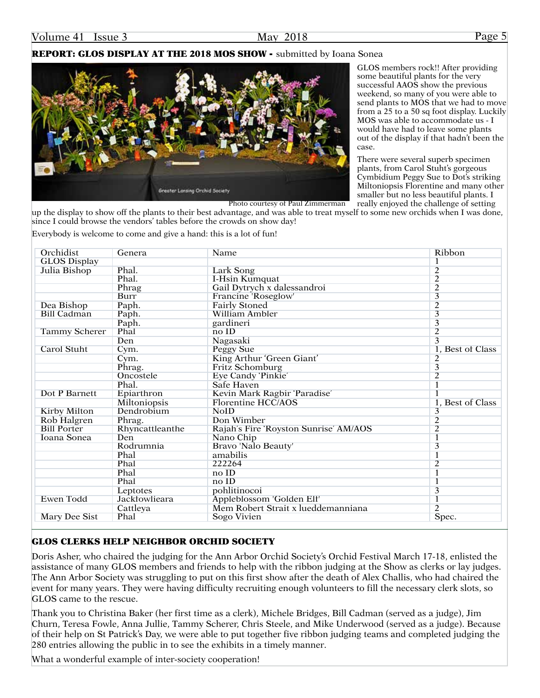### REPORT: GLOS DISPLAY AT THE 2018 MOS SHOW - submitted by Ioana Sonea



GLOS members rock!! After providing some beautiful plants for the very successful AAOS show the previous weekend, so many of you were able to send plants to MOS that we had to move from a 25 to a 50 sq foot display. Luckily MOS was able to accommodate us - I would have had to leave some plants out of the display if that hadn't been the case.

There were several superb specimen plants, from Carol Stuht's gorgeous Cymbidium Peggy Sue to Dot's striking Miltoniopsis Florentine and many other smaller but no less beautiful plants. I

really enjoyed the challenge of setting up the display to show off the plants to their best advantage, and was able to treat myself to some new orchids when I was done, Photo courtesy of Paul Zimmerman

Everybody is welcome to come and give a hand: this is a lot of fun!

since I could browse the vendors' tables before the crowds on show day!

| Orchidist            | Genera          | Name                                  | Ribbon                  |
|----------------------|-----------------|---------------------------------------|-------------------------|
| <b>GLOS Display</b>  |                 |                                       | 1                       |
| Julia Bishop         | Phal.           | Lark Song                             | $\overline{c}$          |
|                      | Phal.           | I-Hsin Kumquat                        | $\overline{2}$          |
|                      | Phrag           | Gail Dytrych x dalessandroi           | $\overline{2}$          |
|                      | <b>Burr</b>     | Francine 'Roseglow'                   | $\overline{3}$          |
| Dea Bishop           | Paph.           | Fairly Stoned                         | $\overline{2}$          |
| <b>Bill Cadman</b>   | Paph.           | <b>William Ambler</b>                 | $\overline{3}$          |
|                      | Paph.           | gardineri                             | $\overline{\mathbf{3}}$ |
| <b>Tammy Scherer</b> | Phal            | no ID                                 | $\overline{2}$          |
|                      | Den             | Nagasaki                              | $\overline{3}$          |
| Carol Stuht          | Cym.            | Peggy Sue                             | 1, Best of Class        |
|                      | Cym.            | King Arthur 'Green Giant'             | $\overline{c}$          |
|                      | Phrag.          | Fritz Schomburg                       | $\overline{\mathbf{3}}$ |
|                      | Oncostele       | Eye Candy 'Pinkie'                    | $\overline{2}$          |
|                      | Phal.           | Safe Haven                            | 1                       |
| Dot P Barnett        | Epiarthron      | Kevin Mark Ragbir 'Paradise'          |                         |
|                      | Miltoniopsis    | Florentine HCC/AOS                    | 1, Best of Class        |
| Kirby Milton         | Dendrobium      | <b>NoID</b>                           | 3                       |
| Rob Halgren          | Phrag.          | Don Wimber                            | $\overline{2}$          |
| <b>Bill Porter</b>   | Rhyncattleanthe | Rajah's Fire 'Royston Sunrise' AM/AOS | $\overline{2}$          |
| Ioana Sonea          | Den             | Nano Chip                             | 1                       |
|                      | Rodrumnia       | Bravo 'Nalo Beauty'                   | 3                       |
|                      | Phal            | amabilis                              | $\overline{1}$          |
|                      | Phal            | 222264                                | $\overline{c}$          |
|                      | Phal            | noID                                  | 1                       |
|                      | Phal            | no ID                                 | $\overline{1}$          |
|                      | Leptotes        | pohlitinocoi                          | 3                       |
| <b>Ewen Todd</b>     | Jacktowlieara   | Appleblossom 'Golden Elf'             |                         |
|                      | Cattleya        | Mem Robert Strait x lueddemanniana    | $\overline{2}$          |
| Mary Dee Sist        | Phal            | Sogo Vivien                           | Spec.                   |

#### GLOS CLERKS HELP NEIGHBOR ORCHID SOCIETY

Doris Asher, who chaired the judging for the Ann Arbor Orchid Society's Orchid Festival March 17-18, enlisted the assistance of many GLOS members and friends to help with the ribbon judging at the Show as clerks or lay judges. The Ann Arbor Society was struggling to put on this first show after the death of Alex Challis, who had chaired the event for many years. They were having difficulty recruiting enough volunteers to fill the necessary clerk slots, so GLOS came to the rescue.

Thank you to Christina Baker (her first time as a clerk), Michele Bridges, Bill Cadman (served as a judge), Jim Churn, Teresa Fowle, Anna Jullie, Tammy Scherer, Chris Steele, and Mike Underwood (served as a judge). Because of their help on St Patrick's Day, we were able to put together five ribbon judging teams and completed judging the 280 entries allowing the public in to see the exhibits in a timely manner.

What a wonderful example of inter-society cooperation!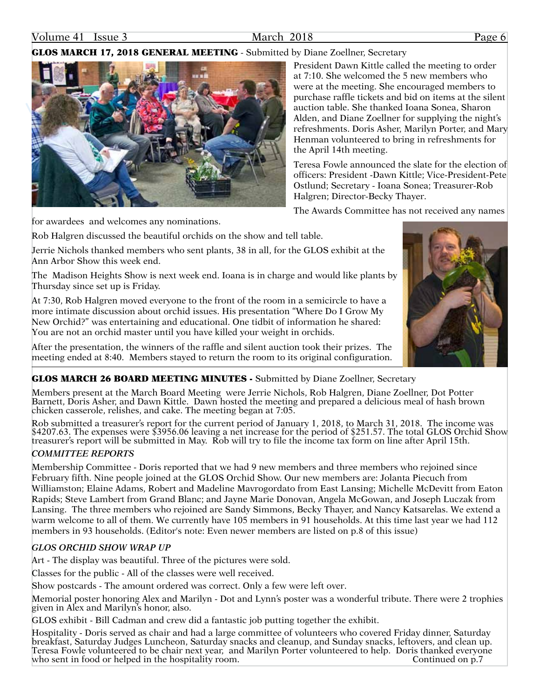#### Volume 41 Issue 3 March 2018 Page 6

#### **GLOS MARCH 17, 2018 GENERAL MEETING - Submitted by Diane Zoellner, Secretary**



President Dawn Kittle called the meeting to order at 7:10. She welcomed the 5 new members who were at the meeting. She encouraged members to purchase raffle tickets and bid on items at the silent auction table. She thanked Ioana Sonea, Sharon Alden, and Diane Zoellner for supplying the night's refreshments. Doris Asher, Marilyn Porter, and Mary Henman volunteered to bring in refreshments for the April 14th meeting.

Teresa Fowle announced the slate for the election of officers: President -Dawn Kittle; Vice-President-Pete Ostlund; Secretary - Ioana Sonea; Treasurer-Rob Halgren; Director-Becky Thayer.

The Awards Committee has not received any names

for awardees and welcomes any nominations.

Rob Halgren discussed the beautiful orchids on the show and tell table.

Jerrie Nichols thanked members who sent plants, 38 in all, for the GLOS exhibit at the Ann Arbor Show this week end.

The Madison Heights Show is next week end. Ioana is in charge and would like plants by Thursday since set up is Friday.

At 7:30, Rob Halgren moved everyone to the front of the room in a semicircle to have a more intimate discussion about orchid issues. His presentation "Where Do I Grow My New Orchid?" was entertaining and educational. One tidbit of information he shared: You are not an orchid master until you have killed your weight in orchids.

After the presentation, the winners of the raffle and silent auction took their prizes. The meeting ended at 8:40. Members stayed to return the room to its original configuration.

#### GLOS MARCH 26 BOARD MEETING MINUTES - Submitted by Diane Zoellner, Secretary

Members present at the March Board Meeting were Jerrie Nichols, Rob Halgren, Diane Zoellner, Dot Potter Barnett, Doris Asher, and Dawn Kittle. Dawn hosted the meeting and prepared a delicious meal of hash brown chicken casserole, relishes, and cake. The meeting began at 7:05.

Rob submitted a treasurer's report for the current period of January 1, 2018, to March 31, 2018. The income was \$4207.63. The expenses were \$3956.06 leaving a net increase for the period of \$251.57. The total GLOS Orchid Show treasurer's report will be submitted in May. Rob will try to file the income tax form on line after April 15th.

#### *COMMITTEE REPORTS*

Membership Committee - Doris reported that we had 9 new members and three members who rejoined since February fifth. Nine people joined at the GLOS Orchid Show. Our new members are: Jolanta Piecuch from Williamston; Elaine Adams, Robert and Madeline Mavrogordato from East Lansing; Michelle McDevitt from Eaton Rapids; Steve Lambert from Grand Blanc; and Jayne Marie Donovan, Angela McGowan, and Joseph Luczak from Lansing. The three members who rejoined are Sandy Simmons, Becky Thayer, and Nancy Katsarelas. We extend a warm welcome to all of them. We currently have 105 members in 91 households. At this time last year we had 112 members in 93 households. (Editor's note: Even newer members are listed on p.8 of this issue)

#### *GLOS ORCHID SHOW WRAP UP*

Art - The display was beautiful. Three of the pictures were sold.

Classes for the public - All of the classes were well received.

Show postcards - The amount ordered was correct. Only a few were left over.

Memorial poster honoring Alex and Marilyn - Dot and Lynn's poster was a wonderful tribute. There were 2 trophies given in Alex and Marilyn's honor, also.

GLOS exhibit - Bill Cadman and crew did a fantastic job putting together the exhibit.

Hospitality - Doris served as chair and had a large committee of volunteers who covered Friday dinner, Saturday breakfast, Saturday Judges Luncheon, Saturday snacks and cleanup, and Sunday snacks, leftovers, and clean up. Teresa Fowle volunteered to be chair next year, and Marilyn Porter volunteered to help. Doris thanked everyone who sent in food or helped in the hospitality room. Continued on  $p.7$ 

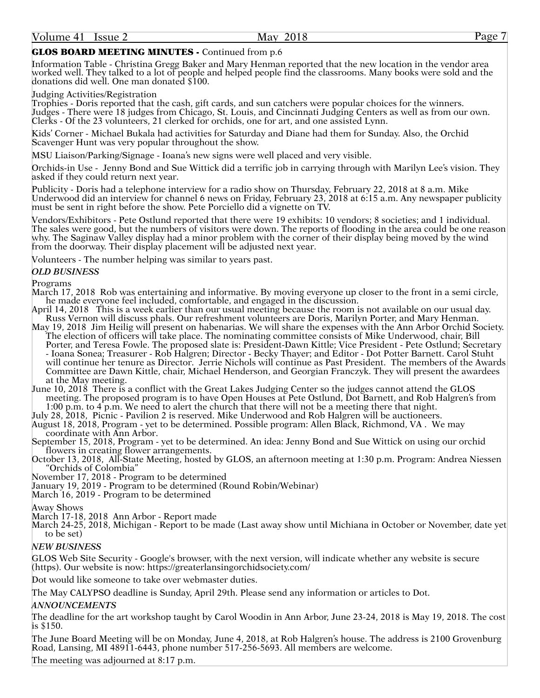#### GLOS BOARD MEETING MINUTES - Continued from p.6

Information Table - Christina Gregg Baker and Mary Henman reported that the new location in the vendor area worked well. They talked to a lot of people and helped people find the classrooms. Many books were sold and the donations did well. One man donated \$100.

Judging Activities/Registration

Trophies - Doris reported that the cash, gift cards, and sun catchers were popular choices for the winners. Judges - There were 18 judges from Chicago, St. Louis, and Cincinnati Judging Centers as well as from our own. Clerks - Of the 23 volunteers, 21 clerked for orchids, one for art, and one assisted Lynn.

Kids' Corner - Michael Bukala had activities for Saturday and Diane had them for Sunday. Also, the Orchid Scavenger Hunt was very popular throughout the show.

MSU Liaison/Parking/Signage - Ioana's new signs were well placed and very visible.

Orchids-in Use - Jenny Bond and Sue Wittick did a terrific job in carrying through with Marilyn Lee's vision. They asked if they could return next year.

Publicity - Doris had a telephone interview for a radio show on Thursday, February 22, 2018 at 8 a.m. Mike Underwood did an interview for channel 6 news on Friday, February 23, 2018 at 6:15 a.m. Any newspaper publicity must be sent in right before the show. Pete Porciello did a vignette on TV.

Vendors/Exhibitors - Pete Ostlund reported that there were 19 exhibits: 10 vendors; 8 societies; and 1 individual. The sales were good, but the numbers of visitors were down. The reports of flooding in the area could be one reason why. The Saginaw Valley display had a minor problem with the corner of their display being moved by the wind from the doorway. Their display placement will be adjusted next year.

Volunteers - The number helping was similar to years past.

#### *OLD BUSINESS*

Programs

March 17, 2018 Rob was entertaining and informative. By moving everyone up closer to the front in a semi circle, he made everyone feel included, comfortable, and engaged in the discussion.

- April 14, 2018 This is a week earlier than our usual meeting because the room is not available on our usual day.<br>Russ Vernon will discuss phals. Our refreshment volunteers are Doris, Marilyn Porter, and Mary Henman.
- May 19, 2018 Jim Heilig will present on habenarias. We will share the expenses with the Ann Arbor Orchid Society.<br>The election of officers will take place. The nominating committee consists of Mike Underwood, chair, Bill Porter, and Teresa Fowle. The proposed slate is: President-Dawn Kittle; Vice President - Pete Ostlund; Secretary - Ioana Sonea; Treasurer - Rob Halgren; Director - Becky Thayer; and Editor - Dot Potter Barnett. Carol Stuht will continue her tenure as Director. Jerrie Nichols will continue as Past President. The members of the Awards Committee are Dawn Kittle, chair, Michael Henderson, and Georgian Franczyk. They will present the awardees at the May meeting.

June 10, 2018 There is a conflict with the Great Lakes Judging Center so the judges cannot attend the GLOS meeting. The proposed program is to have Open Houses at Pete Ostlund, Dot Barnett, and Rob Halgren's from 1:00 p.m. to 4 p.m. We need to alert the church that there will not be a meeting there that night.

July 28, 2018, Picnic - Pavilion 2 is reserved. Mike Underwood and Rob Halgren will be auctioneers.

- August 18, 2018, Program yet to be determined. Possible program: Allen Black, Richmond, VA . We may coordinate with Ann Arbor.
- September 15, 2018, Program yet to be determined. An idea: Jenny Bond and Sue Wittick on using our orchid flowers in creating flower arrangements.

October 13, 2018, All-State Meeting, hosted by GLOS, an afternoon meeting at 1:30 p.m. Program: Andrea Niessen "Orchids of Colombia"

November 17, 2018 - Program to be determined

January 19, 2019 - Program to be determined (Round Robin/Webinar)

March 16, 2019 - Program to be determined

Away Shows

March 17-18, 2018 Ann Arbor - Report made

March 24-25, 2018, Michigan - Report to be made (Last away show until Michiana in October or November, date yet to be set)

#### *NEW BUSINESS*

GLOS Web Site Security - Google's browser, with the next version, will indicate whether any website is secure (https). Our website is now: https://greaterlansingorchidsociety.com/

Dot would like someone to take over webmaster duties.

The May CALYPSO deadline is Sunday, April 29th. Please send any information or articles to Dot.

#### *ANNOUNCEMENTS*

The deadline for the art workshop taught by Carol Woodin in Ann Arbor, June 23-24, 2018 is May 19, 2018. The cost is \$150.

The June Board Meeting will be on Monday, June 4, 2018, at Rob Halgren's house. The address is 2100 Grovenburg Road, Lansing, MI 48911-6443, phone number 517-256-5693. All members are welcome.

The meeting was adjourned at 8:17 p.m.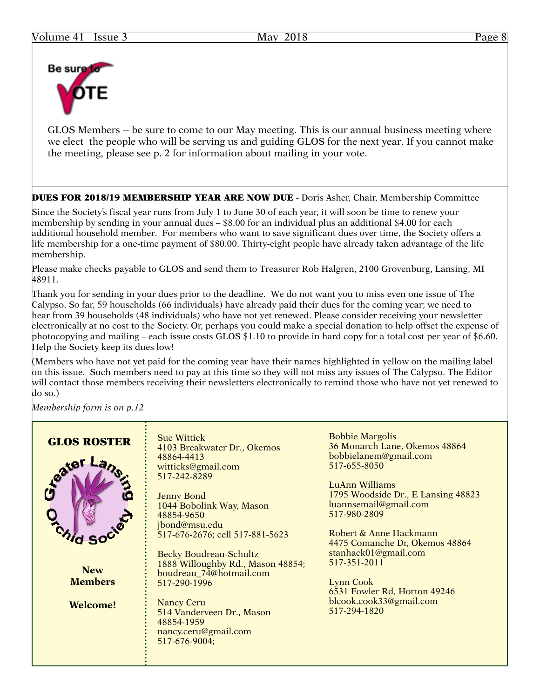

GLOS Members -- be sure to come to our May meeting. This is our annual business meeting where we elect the people who will be serving us and guiding GLOS for the next year. If you cannot make the meeting, please see p. 2 for information about mailing in your vote.

DUES FOR 2018/19 MEMBERSHIP YEAR ARE NOW DUE - Doris Asher, Chair, Membership Committee

Since the Society's fiscal year runs from July 1 to June 30 of each year, it will soon be time to renew your membership by sending in your annual dues – \$8.00 for an individual plus an additional \$4.00 for each additional household member. For members who want to save significant dues over time, the Society offers a life membership for a one-time payment of \$80.00. Thirty-eight people have already taken advantage of the life membership.

Please make checks payable to GLOS and send them to Treasurer Rob Halgren, 2100 Grovenburg, Lansing, MI 48911.

Thank you for sending in your dues prior to the deadline. We do not want you to miss even one issue of The Calypso. So far, 59 households (66 individuals) have already paid their dues for the coming year; we need to hear from 39 households (48 individuals) who have not yet renewed. Please consider receiving your newsletter electronically at no cost to the Society. Or, perhaps you could make a special donation to help offset the expense of photocopying and mailing – each issue costs GLOS \$1.10 to provide in hard copy for a total cost per year of \$6.60. Help the Society keep its dues low!

(Members who have not yet paid for the coming year have their names highlighted in yellow on the mailing label on this issue. Such members need to pay at this time so they will not miss any issues of The Calypso. The Editor will contact those members receiving their newsletters electronically to remind those who have not yet renewed to do so.)

*Membership form is on p.12*

| 517-351-2011<br>1888 Willoughby Rd., Mason 48854;<br><b>New</b><br>boudreau_74@hotmail.com<br><b>Members</b><br>Lynn Cook<br>517-290-1996<br>6531 Fowler Rd, Horton 49246<br>blcook.cook33@gmail.com<br><b>Nancy Ceru</b><br><b>Welcome!</b><br>517-294-1820<br>514 Vanderveen Dr., Mason<br>48854-1959<br>nancy.ceru@gmail.com<br>517-676-9004; | <b>GLOS ROSTER</b><br>teater | <b>Sue Wittick</b><br>4103 Breakwater Dr., Okemos<br>48864-4413<br>witticks@gmail.com<br>517-242-8289<br><b>Jenny Bond</b><br>1044 Bobolink Way, Mason<br>48854-9650<br>jbond@msu.edu<br>517-676-2676; cell 517-881-5623<br>Becky Boudreau-Schultz | <b>Bobbie Margolis</b><br>36 Monarch Lane, Okemos 48864<br>bobbielanem@gmail.com<br>517-655-8050<br>LuAnn Williams<br>1795 Woodside Dr., E Lansing 48823<br>luannsemail@gmail.com<br>517-980-2809<br>Robert & Anne Hackmann<br>4475 Comanche Dr, Okemos 48864<br>stanhack01@gmail.com |
|--------------------------------------------------------------------------------------------------------------------------------------------------------------------------------------------------------------------------------------------------------------------------------------------------------------------------------------------------|------------------------------|----------------------------------------------------------------------------------------------------------------------------------------------------------------------------------------------------------------------------------------------------|---------------------------------------------------------------------------------------------------------------------------------------------------------------------------------------------------------------------------------------------------------------------------------------|
|--------------------------------------------------------------------------------------------------------------------------------------------------------------------------------------------------------------------------------------------------------------------------------------------------------------------------------------------------|------------------------------|----------------------------------------------------------------------------------------------------------------------------------------------------------------------------------------------------------------------------------------------------|---------------------------------------------------------------------------------------------------------------------------------------------------------------------------------------------------------------------------------------------------------------------------------------|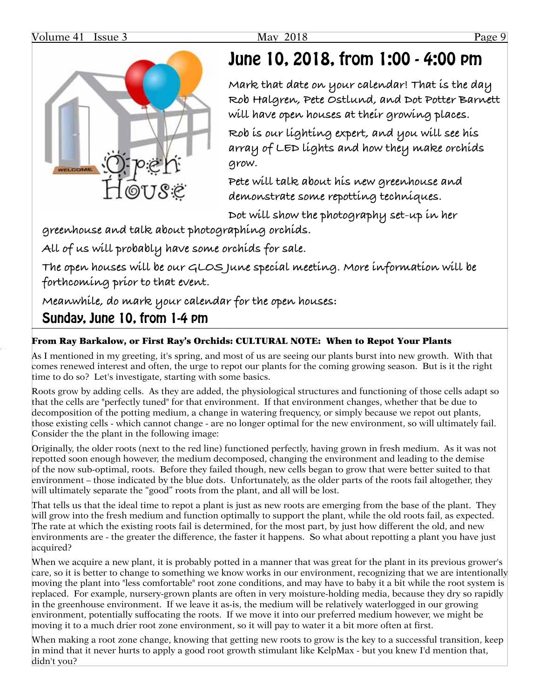

# June 10, 2018, from 1:00 - 4:00 pm

**Mark that date on your calendar! That is the day Rob Halgren, Pete Ostlund, and Dot Potter Barnett will have open houses at their growing places.**

**Rob is our lighting expert, and you will see his array of LED lights and how they make orchids grow.**

**Pete will talk about his new greenhouse and demonstrate some repotting techniques.**

**Dot will show the photography set-up in her** 

**greenhouse and talk about photographing orchids.**

**All of us will probably have some orchids for sale.**

**The open houses will be our GLOS June special meeting. More information will be forthcoming prior to that event.**

**Meanwhile, do mark your calendar for the open houses:** 

## Sunday, June 10, from 1-4 pm

### From Ray Barkalow, or First Ray's Orchids: CULTURAL NOTE: When to Repot Your Plants

As I mentioned in my greeting, it's spring, and most of us are seeing our plants burst into new growth. With that comes renewed interest and often, the urge to repot our plants for the coming growing season. But is it the right time to do so? Let's investigate, starting with some basics.

Roots grow by adding cells. As they are added, the physiological structures and functioning of those cells adapt so that the cells are "perfectly tuned" for that environment. If that environment changes, whether that be due to decomposition of the potting medium, a change in watering frequency, or simply because we repot out plants, those existing cells - which cannot change - are no longer optimal for the new environment, so will ultimately fail. Consider the the plant in the following image:

Originally, the older roots (next to the red line) functioned perfectly, having grown in fresh medium. As it was not repotted soon enough however, the medium decomposed, changing the environment and leading to the demise of the now sub-optimal, roots. Before they failed though, new cells began to grow that were better suited to that environment – those indicated by the blue dots. Unfortunately, as the older parts of the roots fail altogether, they will ultimately separate the "good" roots from the plant, and all will be lost.

That tells us that the ideal time to repot a plant is just as new roots are emerging from the base of the plant. They will grow into the fresh medium and function optimally to support the plant, while the old roots fail, as expected. The rate at which the existing roots fail is determined, for the most part, by just how different the old, and new environments are - the greater the difference, the faster it happens. So what about repotting a plant you have just acquired?

When we acquire a new plant, it is probably potted in a manner that was great for the plant in its previous grower's care, so it is better to change to something we know works in our environment, recognizing that we are intentionally moving the plant into "less comfortable" root zone conditions, and may have to baby it a bit while the root system is replaced. For example, nursery-grown plants are often in very moisture-holding media, because they dry so rapidly in the greenhouse environment. If we leave it as-is, the medium will be relatively waterlogged in our growing environment, potentially suffocating the roots. If we move it into our preferred medium however, we might be moving it to a much drier root zone environment, so it will pay to water it a bit more often at first.

When making a root zone change, knowing that getting new roots to grow is the key to a successful transition, keep in mind that it never hurts to apply a good root growth stimulant like KelpMax - but you knew I'd mention that, didn't you?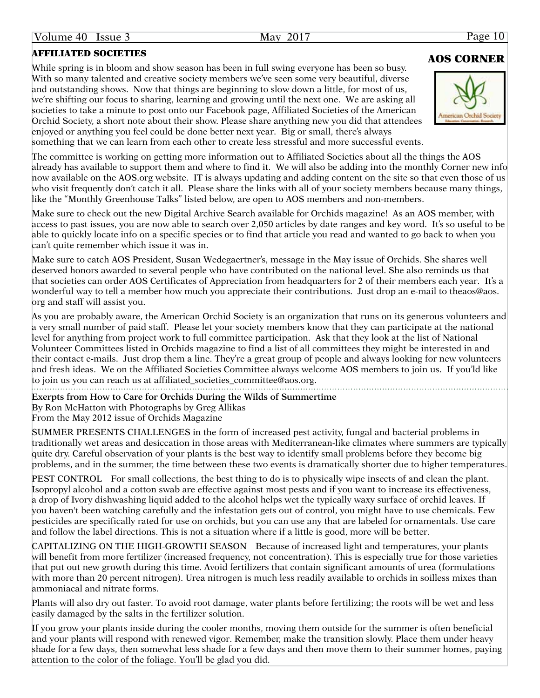## AFFILIATED SOCIETIES<br>
AOS CORNER

While spring is in bloom and show season has been in full swing everyone has been so busy. With so many talented and creative society members we've seen some very beautiful, diverse and outstanding shows. Now that things are beginning to slow down a little, for most of us, we're shifting our focus to sharing, learning and growing until the next one. We are asking all societies to take a minute to post onto our Facebook page, Affiliated Societies of the American Orchid Society, a short note about their show. Please share anything new you did that attendees enjoyed or anything you feel could be done better next year. Big or small, there's always something that we can learn from each other to create less stressful and more successful events.

The committee is working on getting more information out to Affiliated Societies about all the things the AOS already has available to support them and where to find it. We will also be adding into the monthly Corner new info now available on the AOS.org website. IT is always updating and adding content on the site so that even those of us who visit frequently don't catch it all. Please share the links with all of your society members because many things, like the "Monthly Greenhouse Talks" listed below, are open to AOS members and non-members.

Make sure to check out the new Digital Archive Search available for Orchids magazine! As an AOS member, with access to past issues, you are now able to search over 2,050 articles by date ranges and key word. It's so useful to be able to quickly locate info on a specific species or to find that article you read and wanted to go back to when you can't quite remember which issue it was in.

Make sure to catch AOS President, Susan Wedegaertner's, message in the May issue of Orchids. She shares well deserved honors awarded to several people who have contributed on the national level. She also reminds us that that societies can order AOS Certificates of Appreciation from headquarters for 2 of their members each year. It's a wonderful way to tell a member how much you appreciate their contributions. Just drop an e-mail to theaos@aos. org and staff will assist you.

As you are probably aware, the American Orchid Society is an organization that runs on its generous volunteers and a very small number of paid staff. Please let your society members know that they can participate at the national level for anything from project work to full committee participation. Ask that they look at the list of National Volunteer Committees listed in Orchids magazine to find a list of all committees they might be interested in and their contact e-mails. Just drop them a line. They're a great group of people and always looking for new volunteers and fresh ideas. We on the Affiliated Societies Committee always welcome AOS members to join us. If you'ld like to join us you can reach us at affiliated\_societies\_committee@aos.org.

**Exerpts from How to Care for Orchids During the Wilds of Summertime** By Ron McHatton with Photographs by Greg Allikas

SUMMER PRESENTS CHALLENGES in the form of increased pest activity, fungal and bacterial problems in traditionally wet areas and desiccation in those areas with Mediterranean-like climates where summers are typically quite dry. Careful observation of your plants is the best way to identify small problems before they become big problems, and in the summer, the time between these two events is dramatically shorter due to higher temperatures.

PEST CONTROL For small collections, the best thing to do is to physically wipe insects of and clean the plant. Isopropyl alcohol and a cotton swab are effective against most pests and if you want to increase its effectiveness, a drop of Ivory dishwashing liquid added to the alcohol helps wet the typically waxy surface of orchid leaves. If you haven't been watching carefully and the infestation gets out of control, you might have to use chemicals. Few pesticides are specifically rated for use on orchids, but you can use any that are labeled for ornamentals. Use care and follow the label directions. This is not a situation where if a little is good, more will be better.

CAPITALIZING ON THE HIGH-GROWTH SEASON Because of increased light and temperatures, your plants will benefit from more fertilizer (increased frequency, not concentration). This is especially true for those varieties that put out new growth during this time. Avoid fertilizers that contain significant amounts of urea (formulations with more than 20 percent nitrogen). Urea nitrogen is much less readily available to orchids in soilless mixes than ammoniacal and nitrate forms.

Plants will also dry out faster. To avoid root damage, water plants before fertilizing; the roots will be wet and less easily damaged by the salts in the fertilizer solution.

If you grow your plants inside during the cooler months, moving them outside for the summer is often beneficial and your plants will respond with renewed vigor. Remember, make the transition slowly. Place them under heavy shade for a few days, then somewhat less shade for a few days and then move them to their summer homes, paying attention to the color of the foliage. You'll be glad you did.

From the May 2012 issue of Orchids Magazine



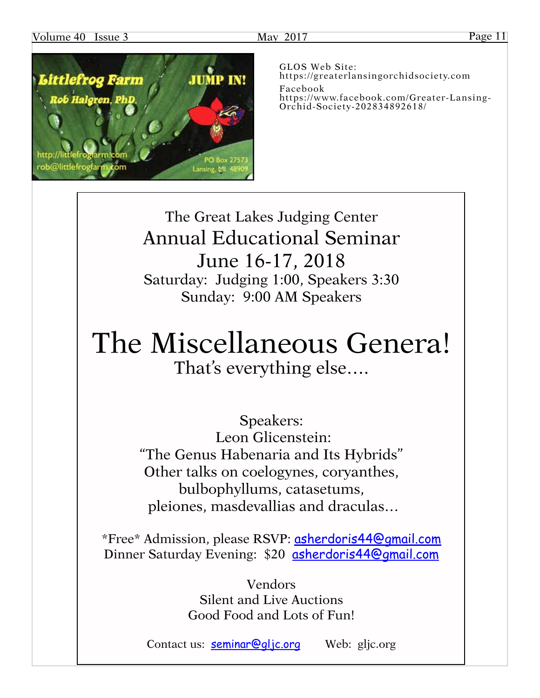### Volume 40 Issue 3 May 2017 May 2017 Page 11



GLOS Web Site: [https://greaterlansingorchidsociety.com](http://greaterlansingorchidsociety.com) Facebook [https://www.facebook.com/Greater-](https://www.facebook.com/Greater)Lansing-Orchid-Society-202834892618/

The Great Lakes Judging Center Annual Educational Seminar June 16-17, 2018 Saturday: Judging 1:00, Speakers 3:30 Sunday: 9:00 AM Speakers

# The Miscellaneous Genera! That's everything else….

Speakers: Leon Glicenstein: "The Genus Habenaria and Its Hybrids" Other talks on coelogynes, coryanthes, bulbophyllums, catasetums, pleiones, masdevallias and draculas…

\*Free\* Admission, please RSVP: [asherdoris44@gmail.com](mailto:asherdoris44@gmail.com) Dinner Saturday Evening: \$20 [asherdoris44@gmail.com](mailto:asherdoris44@gmail.com)

> Vendors Silent and Live Auctions Good Food and Lots of Fun!

Contact us: **[seminar@gljc.org](mailto:seminar@gljc.org)** Web: gljc.org